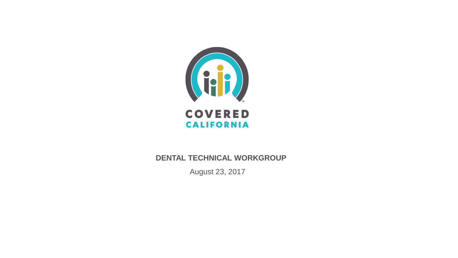

#### **DENTAL TECHNICAL WORKGROUP**

August 23, 2017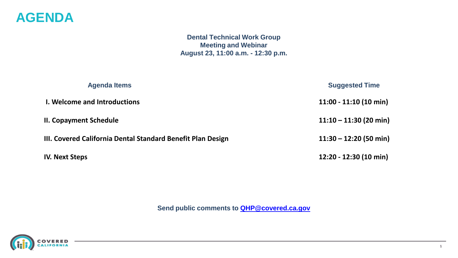#### **AGENDA**

**Dental Technical Work Group Meeting and Webinar August 23, 11:00 a.m. - 12:30 p.m.**

| <b>Agenda Items</b>                                         | <b>Suggested Time</b>    |
|-------------------------------------------------------------|--------------------------|
| I. Welcome and Introductions                                | $11:00 - 11:10(10 min)$  |
| <b>II. Copayment Schedule</b>                               | $11:10 - 11:30$ (20 min) |
| III. Covered California Dental Standard Benefit Plan Design | $11:30 - 12:20$ (50 min) |
| <b>IV. Next Steps</b>                                       | 12:20 - 12:30 (10 min)   |

**Send public comments to [QHP@covered.ca.gov](mailto:QHP@covered.ca.gov)**

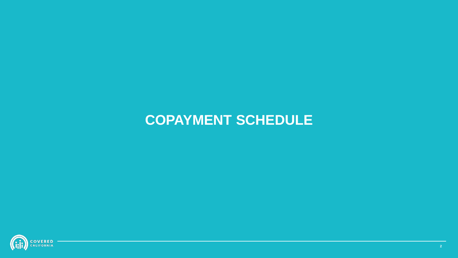# **COPAYMENT SCHEDULE**

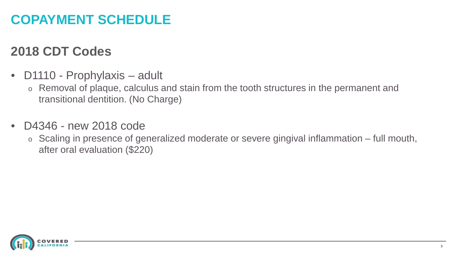## **COPAYMENT SCHEDULE**

### **2018 CDT Codes**

- D1110 Prophylaxis adult
	- o Removal of plaque, calculus and stain from the tooth structures in the permanent and transitional dentition. (No Charge)
- D4346 new 2018 code
	- o Scaling in presence of generalized moderate or severe gingival inflammation full mouth, after oral evaluation (\$220)

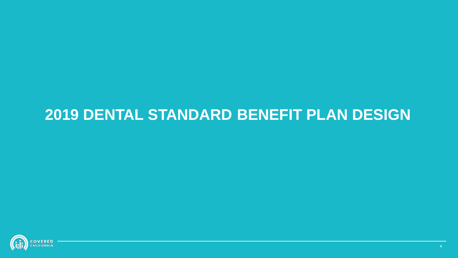# **2019 DENTAL STANDARD BENEFIT PLAN DESIGN**

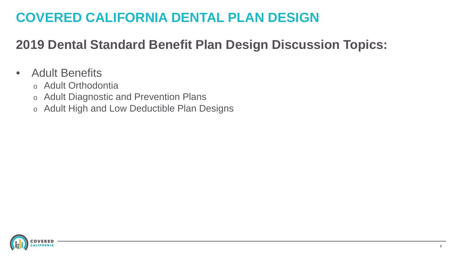## **COVERED CALIFORNIA DENTAL PLAN DESIGN**

## **2019 Dental Standard Benefit Plan Design Discussion Topics:**

#### • Adult Benefits

- o Adult Orthodontia
- o Adult Diagnostic and Prevention Plans
- o Adult High and Low Deductible Plan Designs

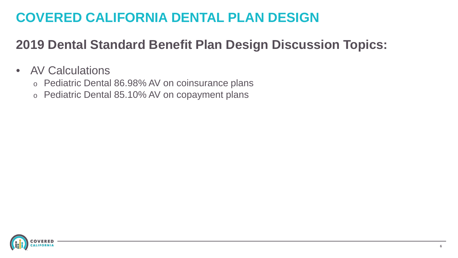## **COVERED CALIFORNIA DENTAL PLAN DESIGN**

## **2019 Dental Standard Benefit Plan Design Discussion Topics:**

- AV Calculations
	- o Pediatric Dental 86.98% AV on coinsurance plans
	- o Pediatric Dental 85.10% AV on copayment plans

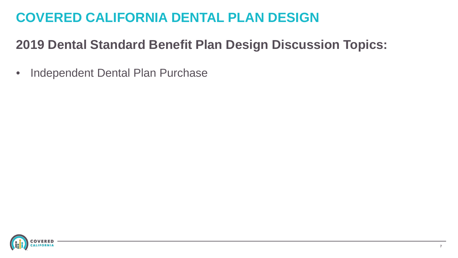## **COVERED CALIFORNIA DENTAL PLAN DESIGN**

## **2019 Dental Standard Benefit Plan Design Discussion Topics:**

• Independent Dental Plan Purchase